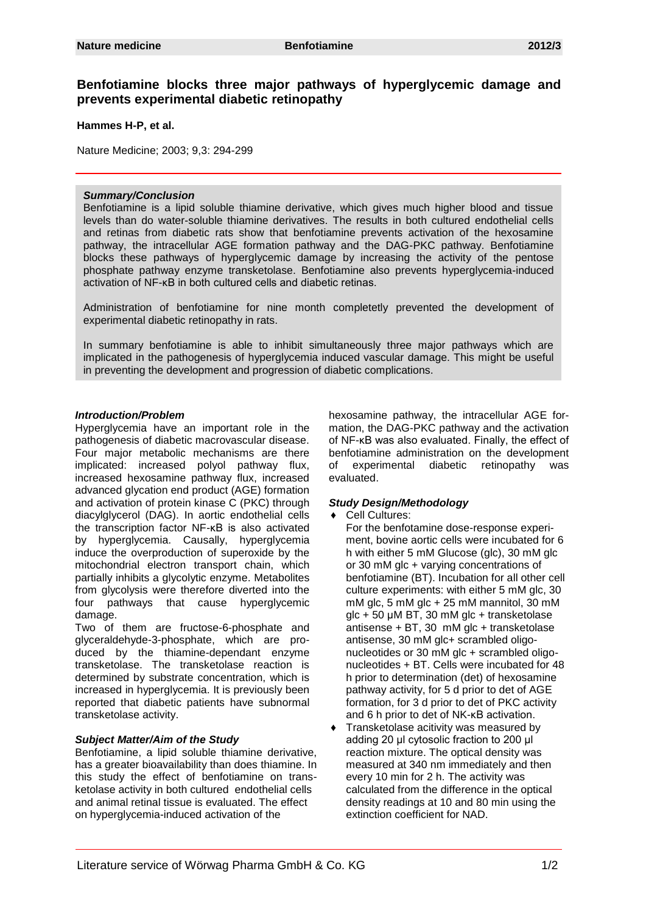# **Benfotiamine blocks three major pathways of hyperglycemic damage and prevents experimental diabetic retinopathy**

**Hammes H-P, et al.**

Nature Medicine; 2003; 9,3: 294-299

#### *Summary/Conclusion*

blocks these pathways of hyperglycemic damage by increasing the activity of the pentose Benfotiamine is a lipid soluble thiamine derivative, which gives much higher blood and tissue levels than do water-soluble thiamine derivatives. The results in both cultured endothelial cells and retinas from diabetic rats show that benfotiamine prevents activation of the hexosamine pathway, the intracellular AGE formation pathway and the DAG-PKC pathway. Benfotiamine phosphate pathway enzyme transketolase. Benfotiamine also prevents hyperglycemia-induced activation of NF-κB in both cultured cells and diabetic retinas.

Administration of benfotiamine for nine month completetly prevented the development of experimental diabetic retinopathy in rats.

In summary benfotiamine is able to inhibit simultaneously three major pathways which are implicated in the pathogenesis of hyperglycemia induced vascular damage. This might be useful in preventing the development and progression of diabetic complications.

#### *Introduction/Problem*

Hyperglycemia have an important role in the pathogenesis of diabetic macrovascular disease. Four major metabolic mechanisms are there implicated: increased polyol pathway flux, increased hexosamine pathway flux, increased advanced glycation end product (AGE) formation and activation of protein kinase C (PKC) through diacylglycerol (DAG). In aortic endothelial cells the transcription factor NF-κB is also activated by hyperglycemia. Causally, hyperglycemia induce the overproduction of superoxide by the mitochondrial electron transport chain, which partially inhibits a glycolytic enzyme. Metabolites from glycolysis were therefore diverted into the four pathways that cause hyperglycemic damage.

Two of them are fructose-6-phosphate and glyceraldehyde-3-phosphate, which are produced by the thiamine-dependant enzyme transketolase. The transketolase reaction is determined by substrate concentration, which is increased in hyperglycemia. It is previously been reported that diabetic patients have subnormal transketolase activity.

#### *Subject Matter/Aim of the Study*

Benfotiamine, a lipid soluble thiamine derivative, has a greater bioavailability than does thiamine. In this study the effect of benfotiamine on transketolase activity in both cultured endothelial cells and animal retinal tissue is evaluated. The effect on hyperglycemia-induced activation of the

hexosamine pathway, the intracellular AGE formation, the DAG-PKC pathway and the activation of NF-κB was also evaluated. Finally, the effect of benfotiamine administration on the development of experimental diabetic retinopathy was evaluated.

### *Study Design/Methodology*

- ♦ Cell Cultures:
	- For the benfotamine dose-response experiment, bovine aortic cells were incubated for 6 h with either 5 mM Glucose (glc), 30 mM glc or 30 mM glc + varying concentrations of benfotiamine (BT). Incubation for all other cell culture experiments: with either 5 mM glc, 30 mM glc, 5 mM glc + 25 mM mannitol, 30 mM glc  $+$  50  $\mu$ M BT, 30 mM glc + transketolase antisense + BT, 30 mM glc + transketolase antisense, 30 mM glc+ scrambled oligonucleotides or 30 mM glc + scrambled oligonucleotides + BT. Cells were incubated for 48 h prior to determination (det) of hexosamine pathway activity, for 5 d prior to det of AGE formation, for 3 d prior to det of PKC activity and 6 h prior to det of NK-κB activation.
- Transketolase acitivity was measured by adding 20 μl cytosolic fraction to 200 μl reaction mixture. The optical density was measured at 340 nm immediately and then every 10 min for 2 h. The activity was calculated from the difference in the optical density readings at 10 and 80 min using the extinction coefficient for NAD.